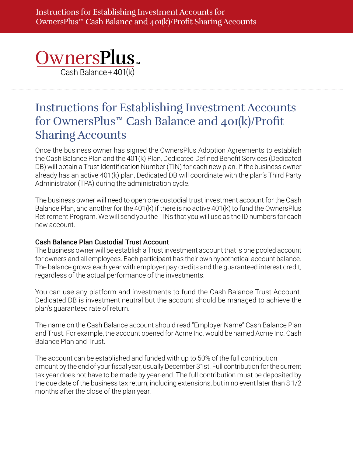

## Instructions for Establishing Investment Accounts for OwnersPlus™ Cash Balance and 401(k)/Profit Sharing Accounts

Once the business owner has signed the OwnersPlus Adoption Agreements to establish the Cash Balance Plan and the 401(k) Plan, Dedicated Defined Benefit Services (Dedicated DB) will obtain a Trust Identification Number (TIN) for each new plan. If the business owner already has an active 401(k) plan, Dedicated DB will coordinate with the plan's Third Party Administrator (TPA) during the administration cycle.

The business owner will need to open one custodial trust investment account for the Cash Balance Plan, and another for the 401(k) if there is no active 401(k) to fund the OwnersPlus Retirement Program. We will send you the TINs that you will use as the ID numbers for each new account.

## Cash Balance Plan Custodial Trust Account

The business owner will be establish a Trust investment account that is one pooled account for owners and all employees. Each participant has their own hypothetical account balance. The balance grows each year with employer pay credits and the guaranteed interest credit, regardless of the actual performance of the investments.

You can use any platform and investments to fund the Cash Balance Trust Account. Dedicated DB is investment neutral but the account should be managed to achieve the plan's guaranteed rate of return.

The name on the Cash Balance account should read "Employer Name" Cash Balance Plan and Trust. For example, the account opened for Acme Inc. would be named Acme Inc. Cash Balance Plan and Trust.

The account can be established and funded with up to 50% of the full contribution amount by the end of your fiscal year, usually December 31st. Full contribution for the current tax year does not have to be made by year-end. The full contribution must be deposited by the due date of the business tax return, including extensions, but in no event later than 8 1/2 months after the close of the plan year.